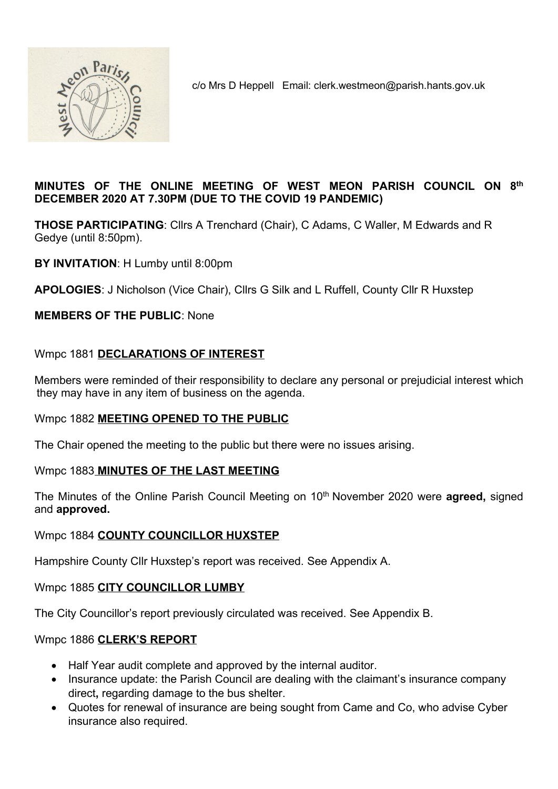

c/o Mrs D Heppell Email: clerk.westmeon@parish.hants.gov.uk

# MINUTES OF THE ONLINE MEETING OF WEST MEON PARISH COUNCIL ON 8th DECEMBER 2020 AT 7.30PM (DUE TO THE COVID 19 PANDEMIC)

THOSE PARTICIPATING: Cllrs A Trenchard (Chair), C Adams, C Waller, M Edwards and R Gedye (until 8:50pm).

BY INVITATION: H Lumby until 8:00pm

APOLOGIES: J Nicholson (Vice Chair), Cllrs G Silk and L Ruffell, County Cllr R Huxstep

# MEMBERS OF THE PUBLIC: None

# Wmpc 1881 DECLARATIONS OF INTEREST

Members were reminded of their responsibility to declare any personal or prejudicial interest which they may have in any item of business on the agenda.

# Wmpc 1882 MEETING OPENED TO THE PUBLIC

The Chair opened the meeting to the public but there were no issues arising.

# Wmpc 1883 MINUTES OF THE LAST MEETING

The Minutes of the Online Parish Council Meeting on 10<sup>th</sup> November 2020 were **agreed**, signed and approved.

#### Wmpc 1884 COUNTY COUNCILLOR HUXSTEP

Hampshire County Cllr Huxstep's report was received. See Appendix A.

# Wmpc 1885 CITY COUNCILLOR LUMBY

The City Councillor's report previously circulated was received. See Appendix B.

#### Wmpc 1886 CLERK'S REPORT

- Half Year audit complete and approved by the internal auditor.
- Insurance update: the Parish Council are dealing with the claimant's insurance company direct, regarding damage to the bus shelter.
- Quotes for renewal of insurance are being sought from Came and Co, who advise Cyber insurance also required.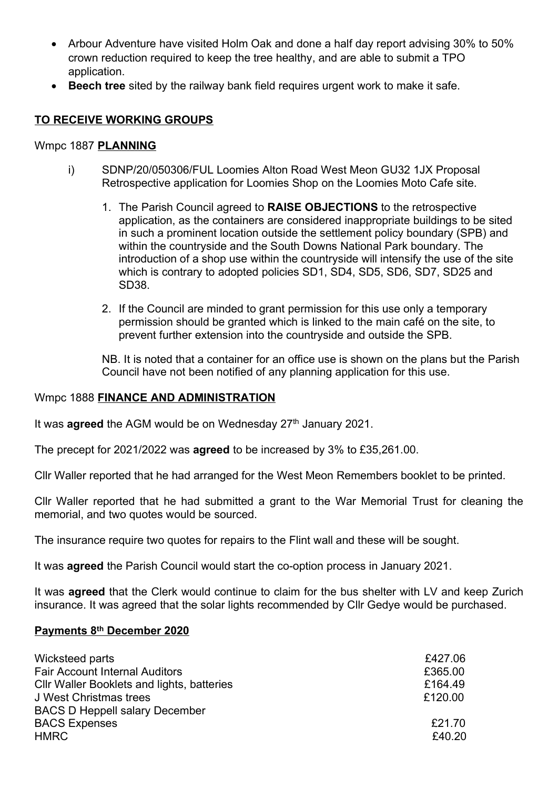- Arbour Adventure have visited Holm Oak and done a half day report advising 30% to 50% crown reduction required to keep the tree healthy, and are able to submit a TPO application.
- Beech tree sited by the railway bank field requires urgent work to make it safe.

# TO RECEIVE WORKING GROUPS

#### Wmpc 1887 PLANNING

- i) SDNP/20/050306/FUL Loomies Alton Road West Meon GU32 1JX Proposal Retrospective application for Loomies Shop on the Loomies Moto Cafe site.
	- 1. The Parish Council agreed to RAISE OBJECTIONS to the retrospective application, as the containers are considered inappropriate buildings to be sited in such a prominent location outside the settlement policy boundary (SPB) and within the countryside and the South Downs National Park boundary. The introduction of a shop use within the countryside will intensify the use of the site which is contrary to adopted policies SD1, SD4, SD5, SD6, SD7, SD25 and SD38.
	- 2. If the Council are minded to grant permission for this use only a temporary permission should be granted which is linked to the main café on the site, to prevent further extension into the countryside and outside the SPB.

NB. It is noted that a container for an office use is shown on the plans but the Parish Council have not been notified of any planning application for this use.

#### Wmpc 1888 FINANCE AND ADMINISTRATION

It was **agreed** the AGM would be on Wednesday  $27<sup>th</sup>$  January 2021.

The precept for 2021/2022 was agreed to be increased by 3% to £35,261.00.

Cllr Waller reported that he had arranged for the West Meon Remembers booklet to be printed.

Cllr Waller reported that he had submitted a grant to the War Memorial Trust for cleaning the memorial, and two quotes would be sourced.

The insurance require two quotes for repairs to the Flint wall and these will be sought.

It was **agreed** the Parish Council would start the co-option process in January 2021.

It was **agreed** that the Clerk would continue to claim for the bus shelter with LV and keep Zurich insurance. It was agreed that the solar lights recommended by Cllr Gedye would be purchased.

#### Payments 8th December 2020

| Wicksteed parts                                   | £427.06 |
|---------------------------------------------------|---------|
| <b>Fair Account Internal Auditors</b>             | £365.00 |
| <b>CIIr Waller Booklets and lights, batteries</b> | £164.49 |
| <b>J West Christmas trees</b>                     | £120.00 |
| <b>BACS D Heppell salary December</b>             |         |
| <b>BACS Expenses</b>                              | £21.70  |
| <b>HMRC</b>                                       | £40.20  |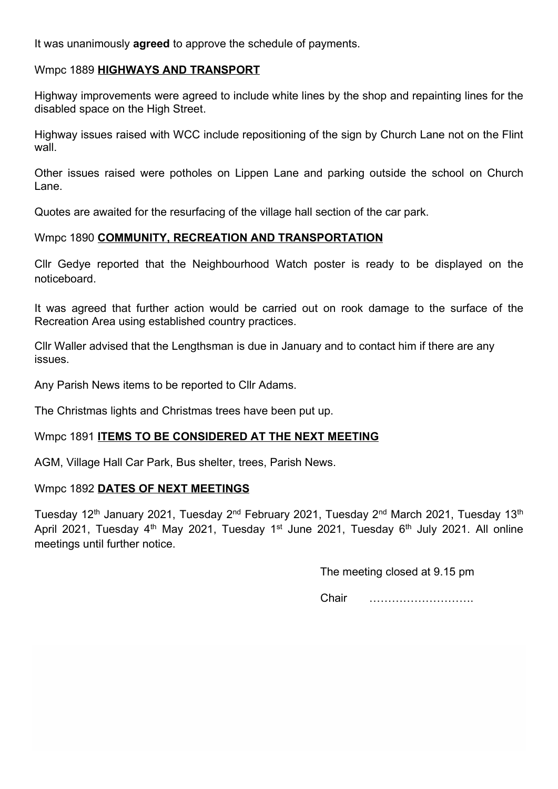It was unanimously **agreed** to approve the schedule of payments.

#### Wmpc 1889 HIGHWAYS AND TRANSPORT

Highway improvements were agreed to include white lines by the shop and repainting lines for the disabled space on the High Street.

Highway issues raised with WCC include repositioning of the sign by Church Lane not on the Flint wall.

Other issues raised were potholes on Lippen Lane and parking outside the school on Church Lane.

Quotes are awaited for the resurfacing of the village hall section of the car park.

#### Wmpc 1890 COMMUNITY, RECREATION AND TRANSPORTATION

Cllr Gedye reported that the Neighbourhood Watch poster is ready to be displayed on the noticeboard.

It was agreed that further action would be carried out on rook damage to the surface of the Recreation Area using established country practices.

Cllr Waller advised that the Lengthsman is due in January and to contact him if there are any issues.

Any Parish News items to be reported to Cllr Adams.

The Christmas lights and Christmas trees have been put up.

# Wmpc 1891 ITEMS TO BE CONSIDERED AT THE NEXT MEETING

AGM, Village Hall Car Park, Bus shelter, trees, Parish News.

#### Wmpc 1892 DATES OF NEXT MEETINGS

Tuesday 12<sup>th</sup> January 2021, Tuesday 2<sup>nd</sup> February 2021, Tuesday 2<sup>nd</sup> March 2021, Tuesday 13<sup>th</sup> April 2021, Tuesday  $4<sup>th</sup>$  May 2021, Tuesday 1<sup>st</sup> June 2021, Tuesday 6<sup>th</sup> July 2021. All online meetings until further notice.

The meeting closed at 9.15 pm

Chair ……………………….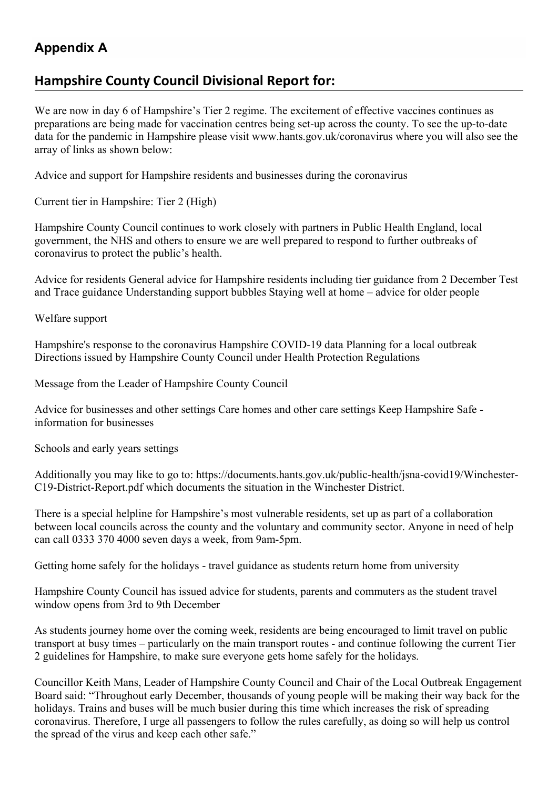# Appendix A

# Hampshire County Council Divisional Report for:

We are now in day 6 of Hampshire's Tier 2 regime. The excitement of effective vaccines continues as preparations are being made for vaccination centres being set-up across the county. To see the up-to-date data for the pandemic in Hampshire please visit www.hants.gov.uk/coronavirus where you will also see the array of links as shown below:

Advice and support for Hampshire residents and businesses during the coronavirus

Current tier in Hampshire: Tier 2 (High)

Hampshire County Council continues to work closely with partners in Public Health England, local government, the NHS and others to ensure we are well prepared to respond to further outbreaks of coronavirus to protect the public's health.

Advice for residents General advice for Hampshire residents including tier guidance from 2 December Test and Trace guidance Understanding support bubbles Staying well at home – advice for older people

Welfare support

Hampshire's response to the coronavirus Hampshire COVID-19 data Planning for a local outbreak Directions issued by Hampshire County Council under Health Protection Regulations

Message from the Leader of Hampshire County Council

Advice for businesses and other settings Care homes and other care settings Keep Hampshire Safe information for businesses

Schools and early years settings

Additionally you may like to go to: https://documents.hants.gov.uk/public-health/jsna-covid19/Winchester-C19-District-Report.pdf which documents the situation in the Winchester District.

There is a special helpline for Hampshire's most vulnerable residents, set up as part of a collaboration between local councils across the county and the voluntary and community sector. Anyone in need of help can call 0333 370 4000 seven days a week, from 9am-5pm.

Getting home safely for the holidays - travel guidance as students return home from university

Hampshire County Council has issued advice for students, parents and commuters as the student travel window opens from 3rd to 9th December

As students journey home over the coming week, residents are being encouraged to limit travel on public transport at busy times – particularly on the main transport routes - and continue following the current Tier 2 guidelines for Hampshire, to make sure everyone gets home safely for the holidays.

Councillor Keith Mans, Leader of Hampshire County Council and Chair of the Local Outbreak Engagement Board said: "Throughout early December, thousands of young people will be making their way back for the holidays. Trains and buses will be much busier during this time which increases the risk of spreading coronavirus. Therefore, I urge all passengers to follow the rules carefully, as doing so will help us control the spread of the virus and keep each other safe."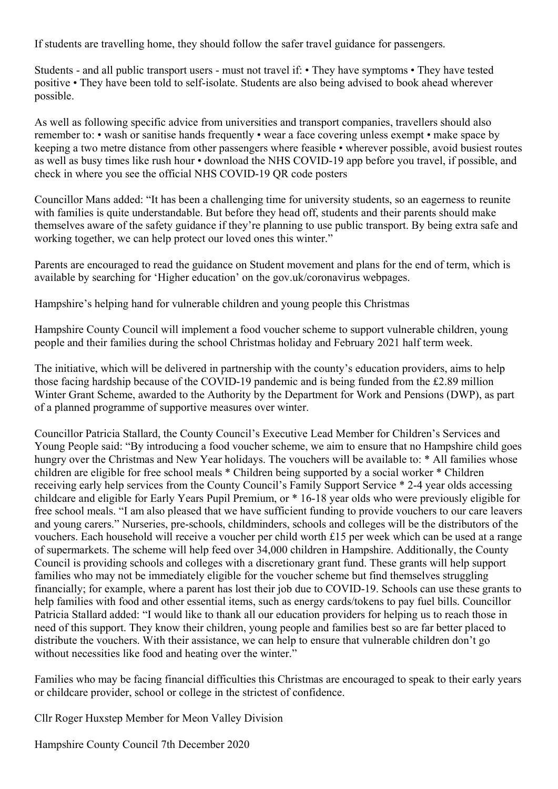If students are travelling home, they should follow the safer travel guidance for passengers.

Students - and all public transport users - must not travel if: • They have symptoms • They have tested positive • They have been told to self-isolate. Students are also being advised to book ahead wherever possible.

As well as following specific advice from universities and transport companies, travellers should also remember to: • wash or sanitise hands frequently • wear a face covering unless exempt • make space by keeping a two metre distance from other passengers where feasible • wherever possible, avoid busiest routes as well as busy times like rush hour • download the NHS COVID-19 app before you travel, if possible, and check in where you see the official NHS COVID-19 QR code posters

Councillor Mans added: "It has been a challenging time for university students, so an eagerness to reunite with families is quite understandable. But before they head off, students and their parents should make themselves aware of the safety guidance if they're planning to use public transport. By being extra safe and working together, we can help protect our loved ones this winter."

Parents are encouraged to read the guidance on Student movement and plans for the end of term, which is available by searching for 'Higher education' on the gov.uk/coronavirus webpages.

Hampshire's helping hand for vulnerable children and young people this Christmas

Hampshire County Council will implement a food voucher scheme to support vulnerable children, young people and their families during the school Christmas holiday and February 2021 half term week.

The initiative, which will be delivered in partnership with the county's education providers, aims to help those facing hardship because of the COVID-19 pandemic and is being funded from the £2.89 million Winter Grant Scheme, awarded to the Authority by the Department for Work and Pensions (DWP), as part of a planned programme of supportive measures over winter.

Councillor Patricia Stallard, the County Council's Executive Lead Member for Children's Services and Young People said: "By introducing a food voucher scheme, we aim to ensure that no Hampshire child goes hungry over the Christmas and New Year holidays. The vouchers will be available to: \* All families whose children are eligible for free school meals \* Children being supported by a social worker \* Children receiving early help services from the County Council's Family Support Service \* 2-4 year olds accessing childcare and eligible for Early Years Pupil Premium, or \* 16-18 year olds who were previously eligible for free school meals. "I am also pleased that we have sufficient funding to provide vouchers to our care leavers and young carers." Nurseries, pre-schools, childminders, schools and colleges will be the distributors of the vouchers. Each household will receive a voucher per child worth £15 per week which can be used at a range of supermarkets. The scheme will help feed over 34,000 children in Hampshire. Additionally, the County Council is providing schools and colleges with a discretionary grant fund. These grants will help support families who may not be immediately eligible for the voucher scheme but find themselves struggling financially; for example, where a parent has lost their job due to COVID-19. Schools can use these grants to help families with food and other essential items, such as energy cards/tokens to pay fuel bills. Councillor Patricia Stallard added: "I would like to thank all our education providers for helping us to reach those in need of this support. They know their children, young people and families best so are far better placed to distribute the vouchers. With their assistance, we can help to ensure that vulnerable children don't go without necessities like food and heating over the winter."

Families who may be facing financial difficulties this Christmas are encouraged to speak to their early years or childcare provider, school or college in the strictest of confidence.

Cllr Roger Huxstep Member for Meon Valley Division

Hampshire County Council 7th December 2020